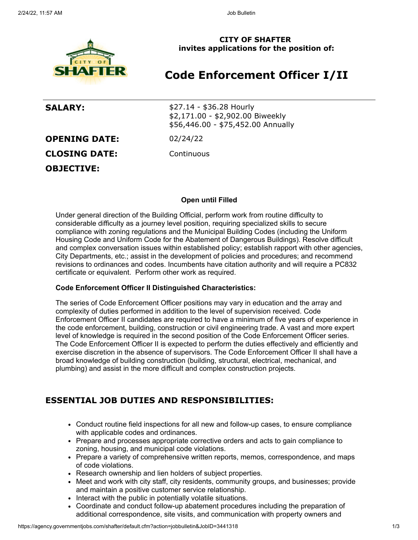

**CITY OF SHAFTER invites applications for the position of:**

# **Code Enforcement Officer I/II**

**SALARY:**  $$27.14 - $36.28$  Hourly \$2,171.00 - \$2,902.00 Biweekly \$56,446.00 - \$75,452.00 Annually

**OPENING DATE:** 02/24/22

**CLOSING DATE:** Continuous

**OBJECTIVE:**

**Open until Filled**

Under general direction of the Building Official, perform work from routine difficulty to considerable difficulty as a journey level position, requiring specialized skills to secure compliance with zoning regulations and the Municipal Building Codes (including the Uniform Housing Code and Uniform Code for the Abatement of Dangerous Buildings). Resolve difficult and complex conversation issues within established policy; establish rapport with other agencies, City Departments, etc.; assist in the development of policies and procedures; and recommend revisions to ordinances and codes. Incumbents have citation authority and will require a PC832 certificate or equivalent. Perform other work as required.

### **Code Enforcement Officer II Distinguished Characteristics:**

The series of Code Enforcement Officer positions may vary in education and the array and complexity of duties performed in addition to the level of supervision received. Code Enforcement Officer II candidates are required to have a minimum of five years of experience in the code enforcement, building, construction or civil engineering trade. A vast and more expert level of knowledge is required in the second position of the Code Enforcement Officer series. The Code Enforcement Officer II is expected to perform the duties effectively and efficiently and exercise discretion in the absence of supervisors. The Code Enforcement Officer II shall have a broad knowledge of building construction (building, structural, electrical, mechanical, and plumbing) and assist in the more difficult and complex construction projects.

### **ESSENTIAL JOB DUTIES AND RESPONSIBILITIES:**

- Conduct routine field inspections for all new and follow-up cases, to ensure compliance with applicable codes and ordinances.
- Prepare and processes appropriate corrective orders and acts to gain compliance to zoning, housing, and municipal code violations.
- Prepare a variety of comprehensive written reports, memos, correspondence, and maps of code violations.
- Research ownership and lien holders of subject properties.
- Meet and work with city staff, city residents, community groups, and businesses; provide and maintain a positive customer service relationship.
- Interact with the public in potentially volatile situations.
- Coordinate and conduct follow-up abatement procedures including the preparation of additional correspondence, site visits, and communication with property owners and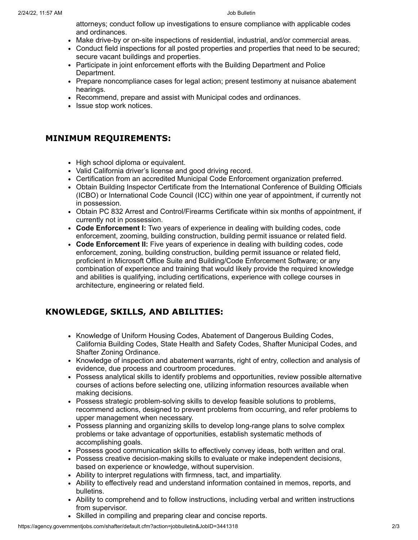attorneys; conduct follow up investigations to ensure compliance with applicable codes and ordinances.

- Make drive-by or on-site inspections of residential, industrial, and/or commercial areas.
- Conduct field inspections for all posted properties and properties that need to be secured; secure vacant buildings and properties.
- Participate in joint enforcement efforts with the Building Department and Police Department.
- Prepare noncompliance cases for legal action; present testimony at nuisance abatement hearings.
- Recommend, prepare and assist with Municipal codes and ordinances.
- Issue stop work notices.

### **MINIMUM REQUIREMENTS:**

- High school diploma or equivalent.
- Valid California driver's license and good driving record.
- Certification from an accredited Municipal Code Enforcement organization preferred.
- Obtain Building Inspector Certificate from the International Conference of Building Officials (ICBO) or International Code Council (ICC) within one year of appointment, if currently not in possession.
- Obtain PC 832 Arrest and Control/Firearms Certificate within six months of appointment, if currently not in possession.
- **Code Enforcement I:** Two years of experience in dealing with building codes, code enforcement, zooming, building construction, building permit issuance or related field.
- **Code Enforcement II:** Five years of experience in dealing with building codes, code enforcement, zoning, building construction, building permit issuance or related field, proficient in Microsoft Office Suite and Building/Code Enforcement Software; or any combination of experience and training that would likely provide the required knowledge and abilities is qualifying, including certifications, experience with college courses in architecture, engineering or related field.

## **KNOWLEDGE, SKILLS, AND ABILITIES:**

- Knowledge of Uniform Housing Codes, Abatement of Dangerous Building Codes, California Building Codes, State Health and Safety Codes, Shafter Municipal Codes, and Shafter Zoning Ordinance.
- Knowledge of inspection and abatement warrants, right of entry, collection and analysis of evidence, due process and courtroom procedures.
- Possess analytical skills to identify problems and opportunities, review possible alternative courses of actions before selecting one, utilizing information resources available when making decisions.
- Possess strategic problem-solving skills to develop feasible solutions to problems, recommend actions, designed to prevent problems from occurring, and refer problems to upper management when necessary.
- Possess planning and organizing skills to develop long-range plans to solve complex problems or take advantage of opportunities, establish systematic methods of accomplishing goals.
- Possess good communication skills to effectively convey ideas, both written and oral.
- Possess creative decision-making skills to evaluate or make independent decisions, based on experience or knowledge, without supervision.
- Ability to interpret regulations with firmness, tact, and impartiality.
- Ability to effectively read and understand information contained in memos, reports, and bulletins.
- Ability to comprehend and to follow instructions, including verbal and written instructions from supervisor.
- Skilled in compiling and preparing clear and concise reports.